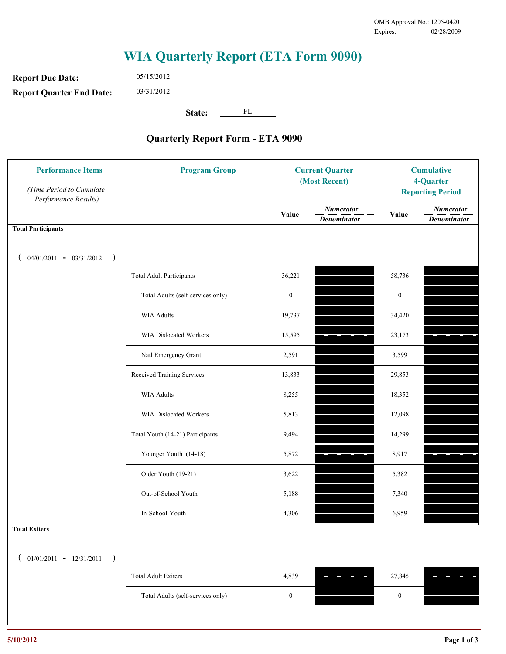## **WIA Quarterly Report (ETA Form 9090)**

**Report Due Date: Report Quarter End Date:** 05/15/2012

03/31/2012

State: <u>FL</u>

## **Quarterly Report Form - ETA 9090**

| <b>Performance Items</b><br>(Time Period to Cumulate<br>Performance Results) | <b>Program Group</b>              | <b>Current Quarter</b><br>(Most Recent) |                                        | <b>Cumulative</b><br>4-Quarter<br><b>Reporting Period</b> |                                        |
|------------------------------------------------------------------------------|-----------------------------------|-----------------------------------------|----------------------------------------|-----------------------------------------------------------|----------------------------------------|
|                                                                              |                                   | Value                                   | <b>Numerator</b><br><b>Denominator</b> | Value                                                     | <b>Numerator</b><br><b>Denominator</b> |
| <b>Total Participants</b>                                                    |                                   |                                         |                                        |                                                           |                                        |
| $04/01/2011 - 03/31/2012$<br>$\rightarrow$                                   |                                   |                                         |                                        |                                                           |                                        |
|                                                                              | <b>Total Adult Participants</b>   | 36,221                                  |                                        | 58,736                                                    |                                        |
|                                                                              | Total Adults (self-services only) | $\boldsymbol{0}$                        |                                        | $\bf{0}$                                                  |                                        |
|                                                                              | <b>WIA Adults</b>                 | 19,737                                  |                                        | 34,420                                                    |                                        |
|                                                                              | WIA Dislocated Workers            | 15,595                                  |                                        | 23,173                                                    |                                        |
|                                                                              | Natl Emergency Grant              | 2,591                                   |                                        | 3,599                                                     |                                        |
|                                                                              | Received Training Services        | 13,833                                  |                                        | 29,853                                                    |                                        |
|                                                                              | <b>WIA Adults</b>                 | 8,255                                   |                                        | 18,352                                                    |                                        |
|                                                                              | WIA Dislocated Workers            | 5,813                                   |                                        | 12,098                                                    |                                        |
|                                                                              | Total Youth (14-21) Participants  | 9,494                                   |                                        | 14,299                                                    |                                        |
|                                                                              | Younger Youth (14-18)             | 5,872                                   |                                        | 8,917                                                     |                                        |
|                                                                              | Older Youth (19-21)               | 3,622                                   |                                        | 5,382                                                     |                                        |
|                                                                              | Out-of-School Youth               | 5,188                                   |                                        | 7,340                                                     |                                        |
|                                                                              | In-School-Youth                   | 4,306                                   |                                        | 6,959                                                     |                                        |
| <b>Total Exiters</b>                                                         |                                   |                                         |                                        |                                                           |                                        |
| $01/01/2011 - 12/31/2011$<br>$\rightarrow$                                   |                                   |                                         |                                        |                                                           |                                        |
|                                                                              | <b>Total Adult Exiters</b>        | 4,839                                   |                                        | 27,845                                                    |                                        |
|                                                                              | Total Adults (self-services only) | $\boldsymbol{0}$                        |                                        | $\boldsymbol{0}$                                          |                                        |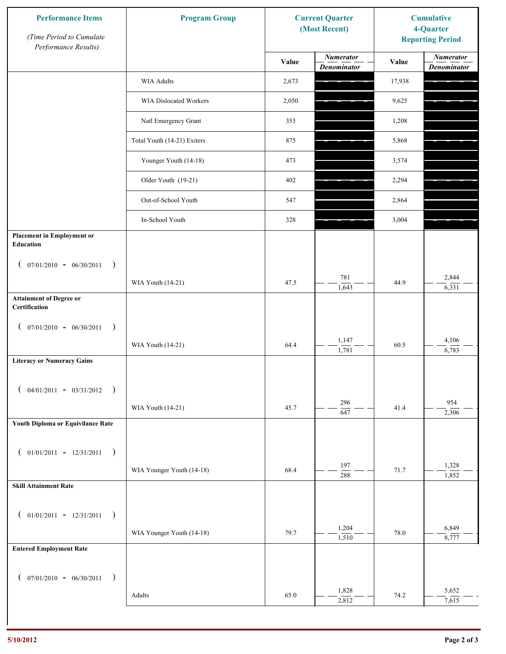| <b>Performance Items</b><br>(Time Period to Cumulate<br>Performance Results) | <b>Program Group</b>        | <b>Current Quarter</b><br>(Most Recent) |                                        | <b>Cumulative</b><br>4-Quarter<br><b>Reporting Period</b> |                                        |
|------------------------------------------------------------------------------|-----------------------------|-----------------------------------------|----------------------------------------|-----------------------------------------------------------|----------------------------------------|
|                                                                              |                             | Value                                   | <b>Numerator</b><br><b>Denominator</b> | Value                                                     | <b>Numerator</b><br><b>Denominator</b> |
|                                                                              | <b>WIA Adults</b>           | 2,673                                   |                                        | 17,938                                                    |                                        |
|                                                                              | WIA Dislocated Workers      | 2,050                                   |                                        | 9,625                                                     |                                        |
|                                                                              | Natl Emergency Grant        | 353                                     |                                        | 1,208                                                     |                                        |
|                                                                              | Total Youth (14-21) Exiters | 875                                     |                                        | 5,868                                                     |                                        |
|                                                                              | Younger Youth (14-18)       | 473                                     |                                        | 3,574                                                     |                                        |
|                                                                              | Older Youth (19-21)         | 402                                     |                                        | 2,294                                                     |                                        |
|                                                                              | Out-of-School Youth         | 547                                     |                                        | 2,864                                                     |                                        |
|                                                                              | In-School Youth             | 328                                     |                                        | 3,004                                                     |                                        |
| <b>Placement in Employment or</b><br><b>Education</b>                        |                             |                                         |                                        |                                                           |                                        |
| $07/01/2010 - 06/30/2011$<br>$\rightarrow$                                   |                             |                                         |                                        |                                                           |                                        |
|                                                                              | WIA Youth (14-21)           | 47.5                                    | 781<br>1,643                           | 44.9                                                      | 2,844<br>6,331                         |
| <b>Attainment of Degree or</b><br>Certification                              |                             |                                         |                                        |                                                           |                                        |
| $07/01/2010 - 06/30/2011$<br>$\lambda$                                       |                             |                                         |                                        |                                                           |                                        |
|                                                                              | WIA Youth (14-21)           | 64.4                                    | 1,147<br>1,781                         | 60.5                                                      | 4,106<br>6,783                         |
| <b>Literacy or Numeracy Gains</b>                                            |                             |                                         |                                        |                                                           |                                        |
| $04/01/2011 - 03/31/2012$ )                                                  |                             |                                         |                                        |                                                           |                                        |
|                                                                              | WIA Youth (14-21)           | 45.7                                    | 296<br>$\overline{647}$                | 41.4                                                      | 954<br>2,306                           |
| Youth Diploma or Equivilance Rate                                            |                             |                                         |                                        |                                                           |                                        |
| $01/01/2011 - 12/31/2011$<br>$\overline{\phantom{a}}$                        |                             |                                         |                                        |                                                           |                                        |
|                                                                              | WIA Younger Youth (14-18)   | 68.4                                    | 197<br>288                             | 71.7                                                      | 1,328<br>1,852                         |
| <b>Skill Attainment Rate</b>                                                 |                             |                                         |                                        |                                                           |                                        |
|                                                                              |                             |                                         |                                        |                                                           |                                        |
| $01/01/2011 - 12/31/2011$<br>$\rightarrow$                                   | WIA Younger Youth (14-18)   | 79.7                                    | 1,204                                  | 78.0                                                      | 6,849                                  |
| <b>Entered Employment Rate</b>                                               |                             |                                         | 1,510                                  |                                                           | 8,777                                  |
|                                                                              |                             |                                         |                                        |                                                           |                                        |
| $($ 07/01/2010 - 06/30/2011                                                  |                             |                                         | 1,828                                  |                                                           | 5,652                                  |
|                                                                              | Adults                      | 65.0                                    | 2,812                                  | 74.2                                                      | 7,615                                  |